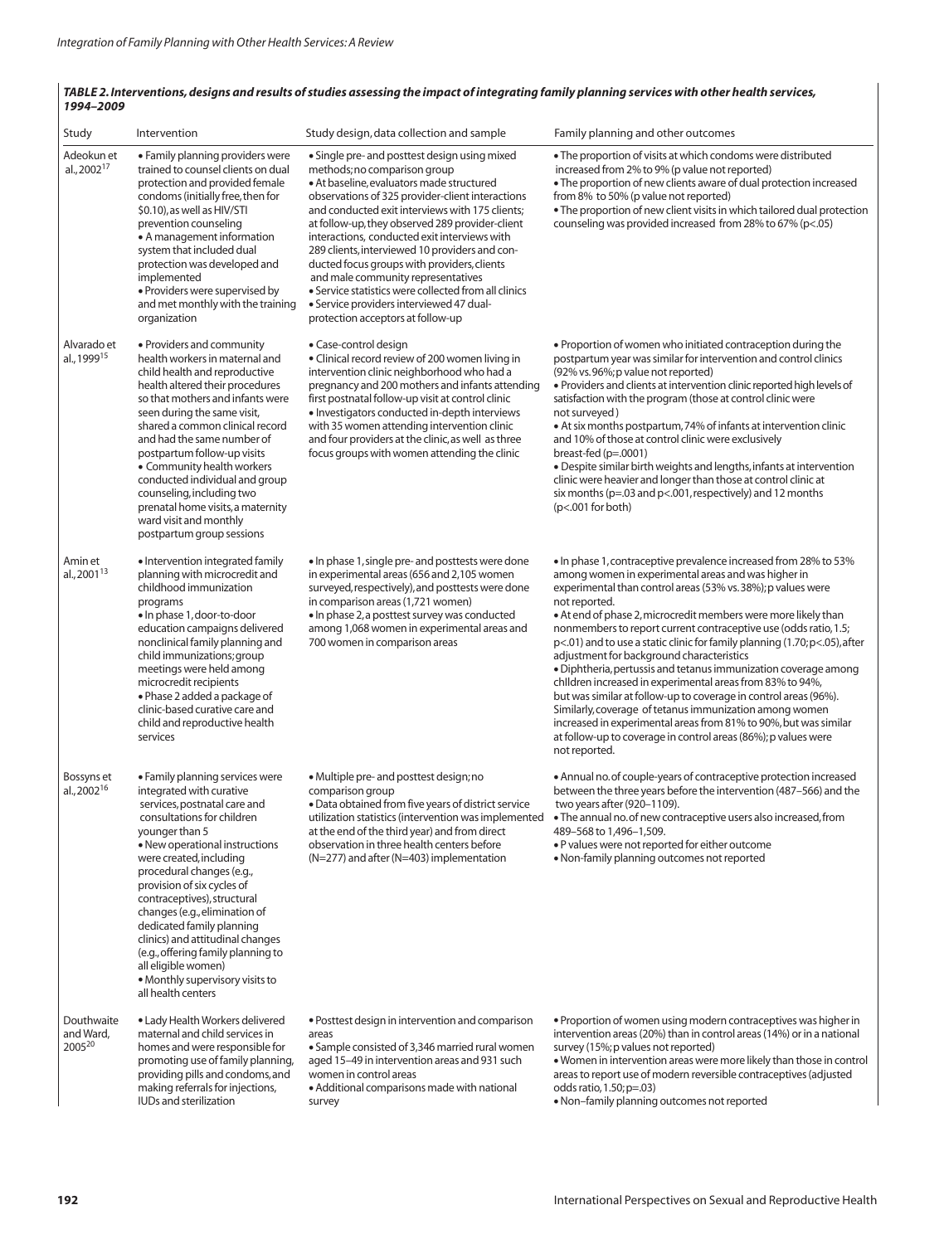## TABLE 2. Interventions, designs and results of studies assessing the impact of integrating family planning services with other health services, *1994–2009*

| Study                                  | Intervention                                                                                                                                                                                                                                                                                                                                                                                                                                                                                                               | Study design, data collection and sample                                                                                                                                                                                                                                                                                                                                                                                                                                                                                                                                                                             | Family planning and other outcomes                                                                                                                                                                                                                                                                                                                                                                                                                                                                                                                                                                                                                                                                                                                                                                                                                                                                    |
|----------------------------------------|----------------------------------------------------------------------------------------------------------------------------------------------------------------------------------------------------------------------------------------------------------------------------------------------------------------------------------------------------------------------------------------------------------------------------------------------------------------------------------------------------------------------------|----------------------------------------------------------------------------------------------------------------------------------------------------------------------------------------------------------------------------------------------------------------------------------------------------------------------------------------------------------------------------------------------------------------------------------------------------------------------------------------------------------------------------------------------------------------------------------------------------------------------|-------------------------------------------------------------------------------------------------------------------------------------------------------------------------------------------------------------------------------------------------------------------------------------------------------------------------------------------------------------------------------------------------------------------------------------------------------------------------------------------------------------------------------------------------------------------------------------------------------------------------------------------------------------------------------------------------------------------------------------------------------------------------------------------------------------------------------------------------------------------------------------------------------|
| Adeokun et<br>al., 2002 <sup>17</sup>  | • Family planning providers were<br>trained to counsel clients on dual<br>protection and provided female<br>condoms (initially free, then for<br>\$0.10), as well as HIV/STI<br>prevention counseling<br>• A management information<br>system that included dual<br>protection was developed and<br>implemented<br>• Providers were supervised by<br>and met monthly with the training<br>organization                                                                                                                     | • Single pre- and posttest design using mixed<br>methods; no comparison group<br>• At baseline, evaluators made structured<br>observations of 325 provider-client interactions<br>and conducted exit interviews with 175 clients;<br>at follow-up, they observed 289 provider-client<br>interactions, conducted exit interviews with<br>289 clients, interviewed 10 providers and con-<br>ducted focus groups with providers, clients<br>and male community representatives<br>• Service statistics were collected from all clinics<br>• Service providers interviewed 47 dual-<br>protection acceptors at follow-up | • The proportion of visits at which condoms were distributed<br>increased from 2% to 9% (p value not reported)<br>• The proportion of new clients aware of dual protection increased<br>from 8% to 50% (p value not reported)<br>• The proportion of new client visits in which tailored dual protection<br>counseling was provided increased from 28% to 67% (p<.05)                                                                                                                                                                                                                                                                                                                                                                                                                                                                                                                                 |
| Alvarado et<br>al., 1999 <sup>15</sup> | • Providers and community<br>health workers in maternal and<br>child health and reproductive<br>health altered their procedures<br>so that mothers and infants were<br>seen during the same visit,<br>shared a common clinical record<br>and had the same number of<br>postpartum follow-up visits<br>• Community health workers<br>conducted individual and group<br>counseling, including two<br>prenatal home visits, a maternity<br>ward visit and monthly<br>postpartum group sessions                                | • Case-control design<br>• Clinical record review of 200 women living in<br>intervention clinic neighborhood who had a<br>pregnancy and 200 mothers and infants attending<br>first postnatal follow-up visit at control clinic<br>• Investigators conducted in-depth interviews<br>with 35 women attending intervention clinic<br>and four providers at the clinic, as well as three<br>focus groups with women attending the clinic                                                                                                                                                                                 | . Proportion of women who initiated contraception during the<br>postpartum year was similar for intervention and control clinics<br>(92% vs. 96%; p value not reported)<br>· Providers and clients at intervention clinic reported high levels of<br>satisfaction with the program (those at control clinic were<br>not surveyed)<br>• At six months postpartum, 74% of infants at intervention clinic<br>and 10% of those at control clinic were exclusively<br>breast-fed $(p=.0001)$<br>• Despite similar birth weights and lengths, infants at intervention<br>clinic were heavier and longer than those at control clinic at<br>six months ( $p=.03$ and $p<.001$ , respectively) and 12 months<br>$(p<.001$ for both)                                                                                                                                                                           |
| Amin et<br>al., 2001 <sup>13</sup>     | • Intervention integrated family<br>planning with microcredit and<br>childhood immunization<br>programs<br>• In phase 1, door-to-door<br>education campaigns delivered<br>nonclinical family planning and<br>child immunizations; group<br>meetings were held among<br>microcredit recipients<br>• Phase 2 added a package of<br>clinic-based curative care and<br>child and reproductive health<br>services                                                                                                               | • In phase 1, single pre- and posttests were done<br>in experimental areas (656 and 2,105 women<br>surveyed, respectively), and posttests were done<br>in comparison areas (1,721 women)<br>• In phase 2, a posttest survey was conducted<br>among 1,068 women in experimental areas and<br>700 women in comparison areas                                                                                                                                                                                                                                                                                            | • In phase 1, contraceptive prevalence increased from 28% to 53%<br>among women in experimental areas and was higher in<br>experimental than control areas (53% vs. 38%); p values were<br>not reported.<br>• At end of phase 2, microcredit members were more likely than<br>nonmembers to report current contraceptive use (odds ratio, 1.5;<br>$p<.01$ ) and to use a static clinic for family planning (1.70; $p<.05$ ), after<br>adjustment for background characteristics<br>• Diphtheria, pertussis and tetanus immunization coverage among<br>children increased in experimental areas from 83% to 94%,<br>but was similar at follow-up to coverage in control areas (96%).<br>Similarly, coverage of tetanus immunization among women<br>increased in experimental areas from 81% to 90%, but was similar<br>at follow-up to coverage in control areas (86%); p values were<br>not reported. |
| Bossyns et<br>al., 2002 <sup>16</sup>  | • Family planning services were<br>integrated with curative<br>services, postnatal care and<br>consultations for children<br>younger than 5<br>• New operational instructions<br>were created, including<br>procedural changes (e.g.,<br>provision of six cycles of<br>contraceptives), structural<br>changes (e.g., elimination of<br>dedicated family planning<br>clinics) and attitudinal changes<br>(e.g., offering family planning to<br>all eligible women)<br>· Monthly supervisory visits to<br>all health centers | • Multiple pre- and posttest design; no<br>comparison group<br>· Data obtained from five years of district service<br>utilization statistics (intervention was implemented<br>at the end of the third year) and from direct<br>observation in three health centers before<br>(N=277) and after (N=403) implementation                                                                                                                                                                                                                                                                                                | • Annual no. of couple-years of contraceptive protection increased<br>between the three years before the intervention (487-566) and the<br>two years after (920-1109).<br>• The annual no. of new contraceptive users also increased, from<br>489-568 to 1,496-1,509.<br>. P values were not reported for either outcome<br>• Non-family planning outcomes not reported                                                                                                                                                                                                                                                                                                                                                                                                                                                                                                                               |
| Douthwaite<br>and Ward,<br>200520      | • Lady Health Workers delivered<br>maternal and child services in<br>homes and were responsible for<br>promoting use of family planning,<br>providing pills and condoms, and<br>making referrals for injections,<br><b>IUDs and sterilization</b>                                                                                                                                                                                                                                                                          | • Posttest design in intervention and comparison<br>areas<br>• Sample consisted of 3,346 married rural women<br>aged 15-49 in intervention areas and 931 such<br>women in control areas<br>• Additional comparisons made with national<br>survey                                                                                                                                                                                                                                                                                                                                                                     | • Proportion of women using modern contraceptives was higher in<br>intervention areas (20%) than in control areas (14%) or in a national<br>survey (15%; p values not reported)<br>. Women in intervention areas were more likely than those in control<br>areas to report use of modern reversible contraceptives (adjusted<br>odds ratio, 1.50; p=.03)<br>. Non-family planning outcomes not reported                                                                                                                                                                                                                                                                                                                                                                                                                                                                                               |